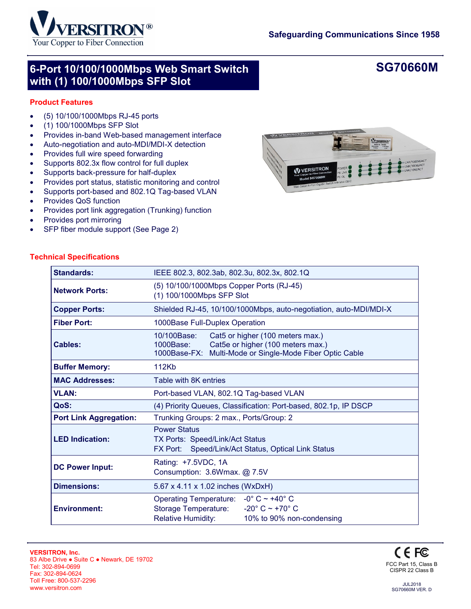

## **6-Port 10/100/1000Mbps Web Smart Switch with (1) 100/1000Mbps SFP Slot**

## **SG70660M**

### **Product Features**

- (5) 10/100/1000Mbps RJ-45 ports
- (1) 100/1000Mbps SFP Slot
- Provides in-band Web-based management interface
- Auto-negotiation and auto-MDI/MDI-X detection
- Provides full wire speed forwarding
- Supports 802.3x flow control for full duplex
- Supports back-pressure for half-duplex
- Provides port status, statistic monitoring and control
- Supports port-based and 802.1Q Tag-based VLAN
- Provides QoS function
- Provides port link aggregation (Trunking) function
- Provides port mirroring
- SFP fiber module support (See Page 2)



| <b>Standards:</b>             | IEEE 802.3, 802.3ab, 802.3u, 802.3x, 802.1Q                                                                                                                                                        |  |  |  |  |  |
|-------------------------------|----------------------------------------------------------------------------------------------------------------------------------------------------------------------------------------------------|--|--|--|--|--|
| <b>Network Ports:</b>         | (5) 10/100/1000Mbps Copper Ports (RJ-45)<br>(1) 100/1000Mbps SFP Slot                                                                                                                              |  |  |  |  |  |
| <b>Copper Ports:</b>          | Shielded RJ-45, 10/100/1000Mbps, auto-negotiation, auto-MDI/MDI-X                                                                                                                                  |  |  |  |  |  |
| <b>Fiber Port:</b>            | 1000Base Full-Duplex Operation                                                                                                                                                                     |  |  |  |  |  |
| <b>Cables:</b>                | 10/100Base:<br>Cat5 or higher (100 meters max.)<br>Cat5e or higher (100 meters max.)<br>1000Base:<br>Multi-Mode or Single-Mode Fiber Optic Cable<br>1000Base-FX:                                   |  |  |  |  |  |
| <b>Buffer Memory:</b>         | 112Kb                                                                                                                                                                                              |  |  |  |  |  |
| <b>MAC Addresses:</b>         | Table with 8K entries                                                                                                                                                                              |  |  |  |  |  |
| <b>VLAN:</b>                  | Port-based VLAN, 802.1Q Tag-based VLAN                                                                                                                                                             |  |  |  |  |  |
| QoS:                          | (4) Priority Queues, Classification: Port-based, 802.1p, IP DSCP                                                                                                                                   |  |  |  |  |  |
| <b>Port Link Aggregation:</b> | Trunking Groups: 2 max., Ports/Group: 2                                                                                                                                                            |  |  |  |  |  |
| <b>LED Indication:</b>        | <b>Power Status</b><br>TX Ports: Speed/Link/Act Status<br>FX Port: Speed/Link/Act Status, Optical Link Status                                                                                      |  |  |  |  |  |
| <b>DC Power Input:</b>        | Rating: +7.5VDC, 1A<br>Consumption: 3.6Wmax. @ 7.5V                                                                                                                                                |  |  |  |  |  |
| <b>Dimensions:</b>            | 5.67 x 4.11 x 1.02 inches (WxDxH)                                                                                                                                                                  |  |  |  |  |  |
| <b>Environment:</b>           | $-0^\circ$ C $\sim$ +40 $^\circ$ C<br><b>Operating Temperature:</b><br>$-20^{\circ}$ C ~ +70 $^{\circ}$ C<br><b>Storage Temperature:</b><br><b>Relative Humidity:</b><br>10% to 90% non-condensing |  |  |  |  |  |
|                               |                                                                                                                                                                                                    |  |  |  |  |  |



JUL2018 SG70660M VER. D

#### **Technical Specifications**